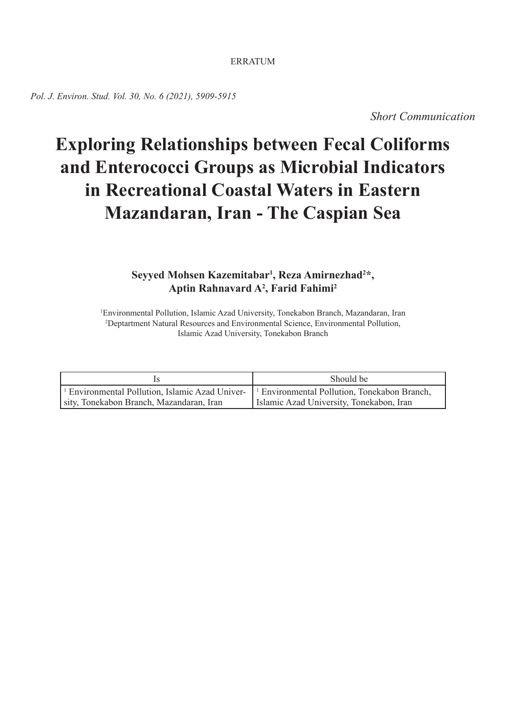### ERRATUM

*Pol. J. Environ. Stud. Vol. 30, No. 6 (2021), 5909-5915*

*Short Communication*

# **Exploring Relationships between Fecal Coliforms and Enterococci Groups as Microbial Indicators in Recreational Coastal Waters in Eastern Mazandaran, Iran - The Caspian Sea**

## **Seyyed Mohsen Kazemitabar1 , Reza Amirnezhad2 \*, Aptin Rahnavard A2 , Farid Fahimi2**

1 Environmental Pollution, Islamic Azad University, Tonekabon Branch, Mazandaran, Iran 2 Deptartment Natural Resources and Environmental Science, Environmental Pollution, Islamic Azad University, Tonekabon Branch

|                                                            | Should be                                               |
|------------------------------------------------------------|---------------------------------------------------------|
| <sup>1</sup> Environmental Pollution, Islamic Azad Univer- | <sup>1</sup> Environmental Pollution, Tonekabon Branch, |
| sity, Tonekabon Branch, Mazandaran, Iran                   | Islamic Azad University, Tonekabon, Iran                |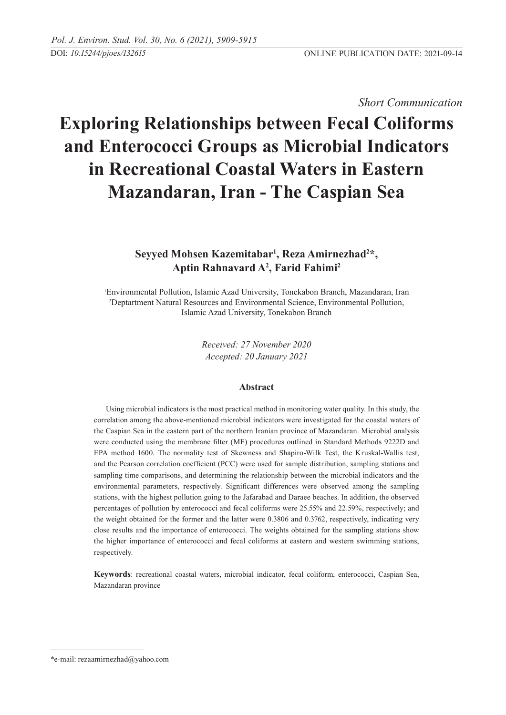## *Short Communication*

# **Exploring Relationships between Fecal Coliforms and Enterococci Groups as Microbial Indicators in Recreational Coastal Waters in Eastern Mazandaran, Iran - The Caspian Sea**

## Seyyed Mohsen Kazemitabar<sup>1</sup>, Reza Amirnezhad<sup>2\*</sup>, **Aptin Rahnavard A2 , Farid Fahimi2**

1 Environmental Pollution, Islamic Azad University, Tonekabon Branch, Mazandaran, Iran 2 Deptartment Natural Resources and Environmental Science, Environmental Pollution, Islamic Azad University, Tonekabon Branch

> *Received: 27 November 2020 Accepted: 20 January 2021*

### **Abstract**

Using microbial indicators is the most practical method in monitoring water quality. In this study, the correlation among the above-mentioned microbial indicators were investigated for the coastal waters of the Caspian Sea in the eastern part of the northern Iranian province of Mazandaran. Microbial analysis were conducted using the membrane filter (MF) procedures outlined in Standard Methods 9222D and EPA method 1600. The normality test of Skewness and Shapiro-Wilk Test, the Kruskal-Wallis test, and the Pearson correlation coefficient (PCC) were used for sample distribution, sampling stations and sampling time comparisons, and determining the relationship between the microbial indicators and the environmental parameters, respectively. Significant differences were observed among the sampling stations, with the highest pollution going to the Jafarabad and Daraee beaches. In addition, the observed percentages of pollution by enterococci and fecal coliforms were 25.55% and 22.59%, respectively; and the weight obtained for the former and the latter were 0.3806 and 0.3762, respectively, indicating very close results and the importance of enterococci. The weights obtained for the sampling stations show the higher importance of enterococci and fecal coliforms at eastern and western swimming stations, respectively.

**Keywords**: recreational coastal waters, microbial indicator, fecal coliform, enterococci, Caspian Sea, Mazandaran province

<sup>\*</sup>e-mail: rezaamirnezhad@yahoo.com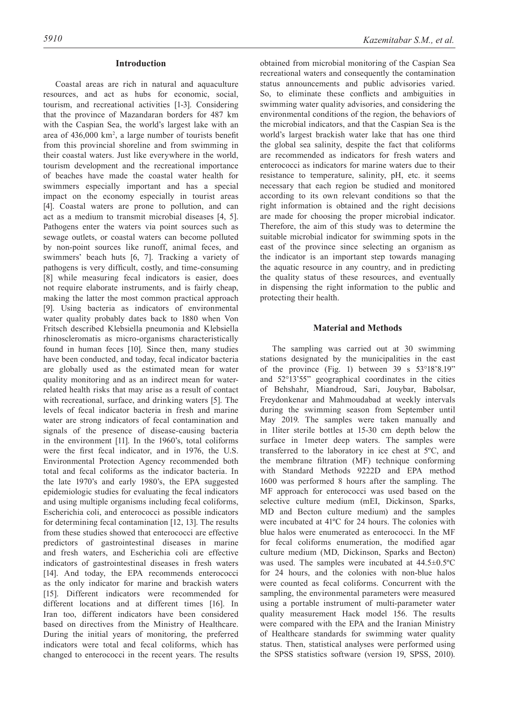#### **Introduction**

Coastal areas are rich in natural and aquaculture resources, and act as hubs for economic, social, tourism, and recreational activities [1-3]. Considering that the province of Mazandaran borders for 487 km with the Caspian Sea, the world's largest lake with an area of 436,000 km<sup>2</sup> , a large number of tourists benefit from this provincial shoreline and from swimming in their coastal waters. Just like everywhere in the world, tourism development and the recreational importance of beaches have made the coastal water health for swimmers especially important and has a special impact on the economy especially in tourist areas [4]. Coastal waters are prone to pollution, and can act as a medium to transmit microbial diseases [4, 5]. Pathogens enter the waters via point sources such as sewage outlets, or coastal waters can become polluted by non-point sources like runoff, animal feces, and swimmers' beach huts [6, 7]. Tracking a variety of pathogens is very difficult, costly, and time-consuming [8] while measuring fecal indicators is easier, does not require elaborate instruments, and is fairly cheap, making the latter the most common practical approach [9]. Using bacteria as indicators of environmental water quality probably dates back to 1880 when Von Fritsch described Klebsiella pneumonia and Klebsiella rhinoscleromatis as micro-organisms characteristically found in human feces [10]. Since then, many studies have been conducted, and today, fecal indicator bacteria are globally used as the estimated mean for water quality monitoring and as an indirect mean for waterrelated health risks that may arise as a result of contact with recreational, surface, and drinking waters [5]. The levels of fecal indicator bacteria in fresh and marine water are strong indicators of fecal contamination and signals of the presence of disease-causing bacteria in the environment [11]. In the 1960's, total coliforms were the first fecal indicator, and in 1976, the U.S. Environmental Protection Agency recommended both total and fecal coliforms as the indicator bacteria. In the late 1970's and early 1980's, the EPA suggested epidemiologic studies for evaluating the fecal indicators and using multiple organisms including fecal coliforms, Escherichia coli, and enterococci as possible indicators for determining fecal contamination [12, 13]. The results from these studies showed that enterococci are effective predictors of gastrointestinal diseases in marine and fresh waters, and Escherichia coli are effective indicators of gastrointestinal diseases in fresh waters [14]. And today, the EPA recommends enterococci as the only indicator for marine and brackish waters [15]. Different indicators were recommended for different locations and at different times [16]. In Iran too, different indicators have been considered based on directives from the Ministry of Healthcare. During the initial years of monitoring, the preferred indicators were total and fecal coliforms, which has changed to enterococci in the recent years. The results

obtained from microbial monitoring of the Caspian Sea recreational waters and consequently the contamination status announcements and public advisories varied. So, to eliminate these conflicts and ambiguities in swimming water quality advisories, and considering the environmental conditions of the region, the behaviors of the microbial indicators, and that the Caspian Sea is the world's largest brackish water lake that has one third the global sea salinity, despite the fact that coliforms are recommended as indicators for fresh waters and enterococci as indicators for marine waters due to their resistance to temperature, salinity, pH, etc. it seems necessary that each region be studied and monitored according to its own relevant conditions so that the right information is obtained and the right decisions are made for choosing the proper microbial indicator. Therefore, the aim of this study was to determine the suitable microbial indicator for swimming spots in the east of the province since selecting an organism as the indicator is an important step towards managing the aquatic resource in any country, and in predicting the quality status of these resources, and eventually in dispensing the right information to the public and protecting their health.

#### **Material and Methods**

The sampling was carried out at 30 swimming stations designated by the municipalities in the east of the province (Fig. 1) between 39 s 53°18'8.19" and 52°13'55" geographical coordinates in the cities of Behshahr, Miandroud, Sari, Jouybar, Babolsar, Freydonkenar and Mahmoudabad at weekly intervals during the swimming season from September until May 2019. The samples were taken manually and in 1liter sterile bottles at 15-30 cm depth below the surface in 1meter deep waters. The samples were transferred to the laboratory in ice chest at 5ºC, and the membrane filtration (MF) technique conforming with Standard Methods 9222D and EPA method 1600 was performed 8 hours after the sampling. The MF approach for enterococci was used based on the selective culture medium (mEI, Dickinson, Sparks, MD and Becton culture medium) and the samples were incubated at 41ºC for 24 hours. The colonies with blue halos were enumerated as enterococci. In the MF for fecal coliforms enumeration, the modified agar culture medium (MD, Dickinson, Sparks and Becton) was used. The samples were incubated at 44.5±0.5ºC for 24 hours, and the colonies with non-blue halos were counted as fecal coliforms. Concurrent with the sampling, the environmental parameters were measured using a portable instrument of multi-parameter water quality measurement Hack model 156. The results were compared with the EPA and the Iranian Ministry of Healthcare standards for swimming water quality status. Then, statistical analyses were performed using the SPSS statistics software (version 19, SPSS, 2010).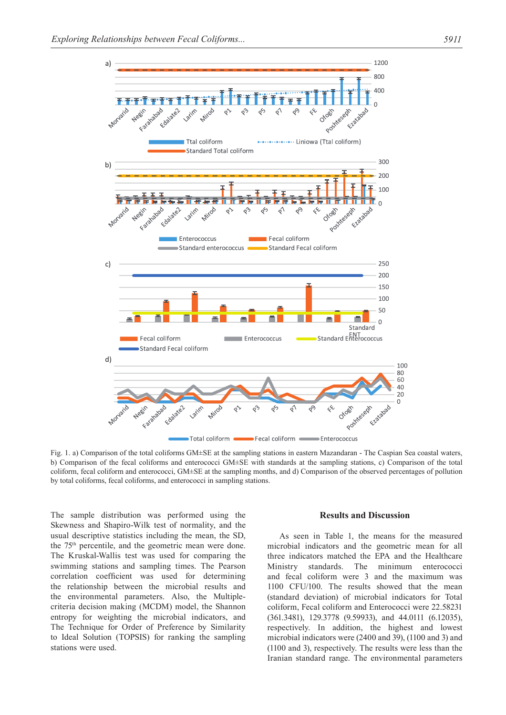

Fig. 1. a) Comparison of the total coliforms GM±SE at the sampling stations in eastern Mazandaran - The Caspian Sea coastal waters, b) Comparison of the fecal coliforms and enterococci GM±SE with standards at the sampling stations, c) Comparison of the total coliform, fecal coliform and enterococci, GM±SE at the sampling months, and d) Comparison of the observed percentages of pollution by total coliforms, fecal coliforms, and enterococci in sampling stations.

The sample distribution was performed using the Skewness and Shapiro-Wilk test of normality, and the usual descriptive statistics including the mean, the SD, the 75th percentile, and the geometric mean were done. The Kruskal-Wallis test was used for comparing the swimming stations and sampling times. The Pearson correlation coefficient was used for determining the relationship between the microbial results and the environmental parameters. Also, the Multiplecriteria decision making (MCDM) model, the Shannon entropy for weighting the microbial indicators, and The Technique for Order of Preference by Similarity to Ideal Solution (TOPSIS) for ranking the sampling stations were used.

#### **Results and Discussion**

As seen in Table 1, the means for the measured microbial indicators and the geometric mean for all three indicators matched the EPA and the Healthcare Ministry standards. The minimum enterococci and fecal coliform were 3 and the maximum was 1100 CFU/100. The results showed that the mean (standard deviation) of microbial indicators for Total coliform, Fecal coliform and Enterococci were 22.58231 (361.3481), 129.3778 (9.59933), and 44.0111 (6.12035), respectively. In addition, the highest and lowest microbial indicators were (2400 and 39), (1100 and 3) and (1100 and 3), respectively. The results were less than the Iranian standard range. The environmental parameters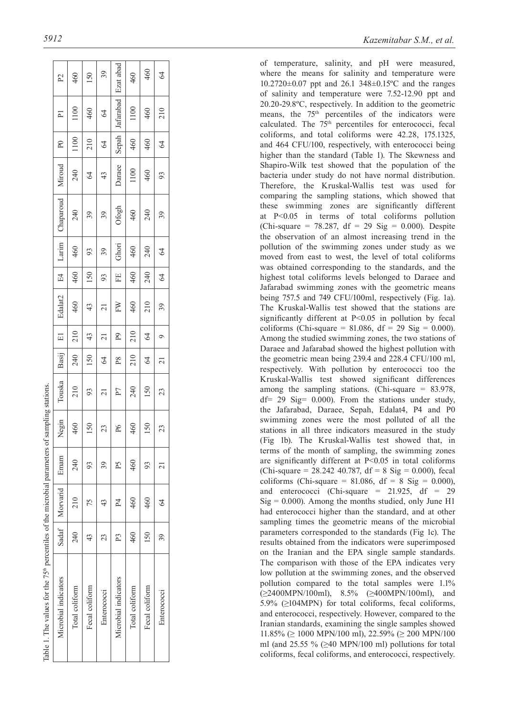| Table 1. The values for the 75 <sup>th</sup> percentiles of the microbial parameters of sampling stations. |               |                         |       |       |                |                |                          |                          |       |       |           |                 |            |                         |                |
|------------------------------------------------------------------------------------------------------------|---------------|-------------------------|-------|-------|----------------|----------------|--------------------------|--------------------------|-------|-------|-----------|-----------------|------------|-------------------------|----------------|
| Microbial indicators                                                                                       |               | Sadaf   Morvarid   Emam |       | Negin | Touska         | Basij          | $\Xi$                    | Edalat <sub>2</sub>      | E4    | Larim | Chaparoud | Miroud          | $_{\rm P}$ | $\overline{\mathsf{P}}$ | $\mathbb{P}^2$ |
| Total coliform                                                                                             | 240           | 210                     | 240   | 460   | 210            | 240            | 210                      | 460                      | 460   | 460   | 240       | 240             | 1100       | 1100                    | 460            |
| Fecal coliform                                                                                             | $\frac{4}{3}$ |                         | $\Im$ | 150   | 93             | 150            | 43                       | 43                       | 150   | 93    | 39        | Z<br>4          | 210        | 460                     | 150            |
| Enterococci                                                                                                | 23            | 43                      | 39    | 23    | ಸ              | $\Im$          | $\overline{\mathcal{E}}$ | $\overline{\mathcal{E}}$ | 93    | 39    | 39        | 43              | $\Im$      | $\Im$                   | 39             |
| Microbial indicators                                                                                       | P3            | $^{P4}$                 | Ρ5    | P6    | P <sub>7</sub> | P8             | $_{\rm eq}$              | FW                       | EE    | Ghori | Ofogh     | Daraee          | Sepah      | Jafarabad   Ezat abad   |                |
| Total coliform                                                                                             | 460           | 460                     | 460   | 460   | 240            | 210            | 210                      | 460                      | 460   | 460   | 460       | 1100            | 460        | 1100                    | 460            |
| Fecal coliform                                                                                             | 150           | 460                     | 93    | 150   | 150            | $\Im$          | $\mathcal{L}$            | 210                      | 240   | 240   | 240       | $\frac{460}{5}$ | 460        | 460                     | 460            |
| Enterococci                                                                                                | 39            | $\mathcal{Z}$           | ಸ     | 23    | 23             | $\overline{c}$ |                          | 39                       | $\Im$ | $\Im$ | 39        | 93              | $\Im$      | 210                     | $\overline{6}$ |
|                                                                                                            |               |                         |       |       |                |                |                          |                          |       |       |           |                 |            |                         |                |

of temperature, salinity, and pH were measured, where the means for salinity and temperature were 10.2720±0.07 ppt and 26.1 348±0.15ºC and the ranges of salinity and temperature were 7.52-12.90 ppt and 20.20-29.8ºC, respectively. In addition to the geometric means, the 75<sup>th</sup> percentiles of the indicators were calculated. The 75th percentiles for enterococci, fecal coliforms, and total coliforms were 42.28, 175.1325, and 464 CFU/100, respectively, with enterococci being higher than the standard (Table 1). The Skewness and Shapiro-Wilk test showed that the population of the bacteria under study do not have normal distribution. Therefore, the Kruskal-Wallis test was used for comparing the sampling stations, which showed that these swimming zones are significantly different at P<0.05 in terms of total coliforms pollution (Chi-square = 78.287, df = 29 Sig =  $0.000$ ). Despite the observation of an almost increasing trend in the pollution of the swimming zones under study as we moved from east to west, the level of total coliforms was obtained corresponding to the standards, and the highest total coliforms levels belonged to Daraee and Jafarabad swimming zones with the geometric means being 757.5 and 749 CFU/100ml, respectively (Fig. 1a). The Kruskal-Wallis test showed that the stations are significantly different at P<0.05 in pollution by fecal coliforms (Chi-square =  $81.086$ , df =  $29$  Sig = 0.000). Among the studied swimming zones, the two stations of Daraee and Jafarabad showed the highest pollution with the geometric mean being 239.4 and 228.4 CFU/100 ml, respectively. With pollution by enterococci too the Kruskal-Wallis test showed significant differences among the sampling stations. (Chi-square = 83.978, df= 29 Sig= 0.000). From the stations under study, the Jafarabad, Daraee, Sepah, Edalat4, P4 and P0 swimming zones were the most polluted of all the stations in all three indicators measured in the study (Fig 1b). The Kruskal-Wallis test showed that, in terms of the month of sampling, the swimming zones are significantly different at P<0.05 in total coliforms (Chi-square =  $28.242$  40.787, df =  $8 \text{ Sig} = 0.000$ ), fecal coliforms (Chi-square = 81.086, df = 8 Sig =  $0.000$ ), and enterococci (Chi-square =  $21.925$ , df =  $29$  $Sig = 0.000$ ). Among the months studied, only June H1 had enterococci higher than the standard, and at other sampling times the geometric means of the microbial parameters corresponded to the standards (Fig 1c). The results obtained from the indicators were superimposed on the Iranian and the EPA single sample standards. The comparison with those of the EPA indicates very low pollution at the swimming zones, and the observed pollution compared to the total samples were 1.1%  $(\geq 2400 \text{MPN}/100 \text{ml})$ , 8.5%  $(\geq 400 \text{MPN}/100 \text{ml})$ , and 5.9% (≥104MPN) for total coliforms, fecal coliforms, and enterococci, respectively. However, compared to the Iranian standards, examining the single samples showed  $11.85\% \approx 1000 \text{ MPN}/100 \text{ ml}$ , 22.59% ( $\geq 200 \text{ MPN}/100$ ml (and 25.55 %  $(\geq 40 \text{ MPN}/100 \text{ ml})$  pollutions for total coliforms, fecal coliforms, and enterococci, respectively.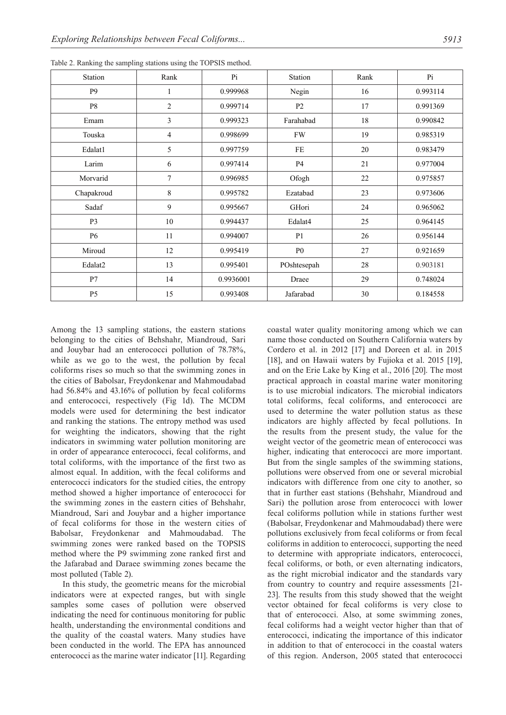| <b>Station</b> | Rank           | Pi        | Station        | Rank | Pi       |
|----------------|----------------|-----------|----------------|------|----------|
| P <sub>9</sub> | 1              | 0.999968  | Negin          | 16   | 0.993114 |
| P8             | $\overline{c}$ | 0.999714  | P <sub>2</sub> | 17   | 0.991369 |
| Emam           | 3              | 0.999323  | Farahabad      | 18   | 0.990842 |
| Touska         | $\overline{4}$ | 0.998699  | <b>FW</b>      | 19   | 0.985319 |
| Edalat1        | 5              | 0.997759  | FE             | 20   | 0.983479 |
| Larim          | 6              | 0.997414  | <b>P4</b>      | 21   | 0.977004 |
| Morvarid       | 7              | 0.996985  | Ofogh          | 22   | 0.975857 |
| Chapakroud     | 8              | 0.995782  | Ezatabad       | 23   | 0.973606 |
| Sadaf          | 9              | 0.995667  | GHori          | 24   | 0.965062 |
| P <sub>3</sub> | 10             | 0.994437  | Edalat4        | 25   | 0.964145 |
| <b>P6</b>      | 11             | 0.994007  | P <sub>1</sub> | 26   | 0.956144 |
| Miroud         | 12             | 0.995419  | P <sub>0</sub> | 27   | 0.921659 |
| Edalat2        | 13             | 0.995401  | POshtesepah    | 28   | 0.903181 |
| P7             | 14             | 0.9936001 | Draee          | 29   | 0.748024 |
| P <sub>5</sub> | 15             | 0.993408  | Jafarabad      | 30   | 0.184558 |
|                |                |           |                |      |          |

Table 2. Ranking the sampling stations using the TOPSIS method.

Among the 13 sampling stations, the eastern stations belonging to the cities of Behshahr, Miandroud, Sari and Jouybar had an enterococci pollution of 78.78%, while as we go to the west, the pollution by fecal coliforms rises so much so that the swimming zones in the cities of Babolsar, Freydonkenar and Mahmoudabad had 56.84% and 43.16% of pollution by fecal coliforms and enterococci, respectively (Fig 1d). The MCDM models were used for determining the best indicator and ranking the stations. The entropy method was used for weighting the indicators, showing that the right indicators in swimming water pollution monitoring are in order of appearance enterococci, fecal coliforms, and total coliforms, with the importance of the first two as almost equal. In addition, with the fecal coliforms and enterococci indicators for the studied cities, the entropy method showed a higher importance of enterococci for the swimming zones in the eastern cities of Behshahr, Miandroud, Sari and Jouybar and a higher importance of fecal coliforms for those in the western cities of Babolsar, Freydonkenar and Mahmoudabad. The swimming zones were ranked based on the TOPSIS method where the P9 swimming zone ranked first and the Jafarabad and Daraee swimming zones became the most polluted (Table 2).

In this study, the geometric means for the microbial indicators were at expected ranges, but with single samples some cases of pollution were observed indicating the need for continuous monitoring for public health, understanding the environmental conditions and the quality of the coastal waters. Many studies have been conducted in the world. The EPA has announced enterococci as the marine water indicator [11]. Regarding coastal water quality monitoring among which we can name those conducted on Southern California waters by Cordero et al. in 2012 [17] and Doreen et al. in 2015 [18], and on Hawaii waters by Fujioka et al. 2015 [19], and on the Erie Lake by King et al., 2016 [20]. The most practical approach in coastal marine water monitoring is to use microbial indicators. The microbial indicators total coliforms, fecal coliforms, and enterococci are used to determine the water pollution status as these indicators are highly affected by fecal pollutions. In the results from the present study, the value for the weight vector of the geometric mean of enterococci was higher, indicating that enterococci are more important. But from the single samples of the swimming stations, pollutions were observed from one or several microbial indicators with difference from one city to another, so that in further east stations (Behshahr, Miandroud and Sari) the pollution arose from enterococci with lower fecal coliforms pollution while in stations further west (Babolsar, Freydonkenar and Mahmoudabad) there were pollutions exclusively from fecal coliforms or from fecal coliforms in addition to enterococci, supporting the need to determine with appropriate indicators, enterococci, fecal coliforms, or both, or even alternating indicators, as the right microbial indicator and the standards vary from country to country and require assessments [21- 23]. The results from this study showed that the weight vector obtained for fecal coliforms is very close to that of enterococci. Also, at some swimming zones, fecal coliforms had a weight vector higher than that of enterococci, indicating the importance of this indicator in addition to that of enterococci in the coastal waters of this region. Anderson, 2005 stated that enterococci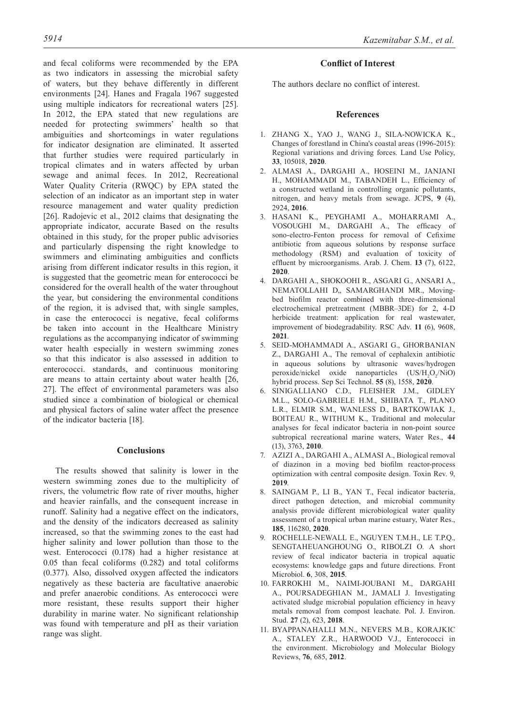and fecal coliforms were recommended by the EPA as two indicators in assessing the microbial safety of waters, but they behave differently in different environments [24]. Hanes and Fragala 1967 suggested using multiple indicators for recreational waters [25]. In 2012, the EPA stated that new regulations are needed for protecting swimmers' health so that ambiguities and shortcomings in water regulations for indicator designation are eliminated. It asserted that further studies were required particularly in tropical climates and in waters affected by urban sewage and animal feces. In 2012, Recreational Water Quality Criteria (RWQC) by EPA stated the selection of an indicator as an important step in water resource management and water quality prediction [26]. Radojevic et al., 2012 claims that designating the appropriate indicator, accurate Based on the results obtained in this study, for the proper public advisories and particularly dispensing the right knowledge to swimmers and eliminating ambiguities and conflicts arising from different indicator results in this region, it is suggested that the geometric mean for enterococci be considered for the overall health of the water throughout the year, but considering the environmental conditions of the region, it is advised that, with single samples, in case the enterococci is negative, fecal coliforms be taken into account in the Healthcare Ministry regulations as the accompanying indicator of swimming water health especially in western swimming zones so that this indicator is also assessed in addition to enterococci. standards, and continuous monitoring are means to attain certainty about water health [26, 27]. The effect of environmental parameters was also studied since a combination of biological or chemical and physical factors of saline water affect the presence of the indicator bacteria [18].

## **Conclusions**

The results showed that salinity is lower in the western swimming zones due to the multiplicity of rivers, the volumetric flow rate of river mouths, higher and heavier rainfalls, and the consequent increase in runoff. Salinity had a negative effect on the indicators, and the density of the indicators decreased as salinity increased, so that the swimming zones to the east had higher salinity and lower pollution than those to the west. Enterococci (0.178) had a higher resistance at 0.05 than fecal coliforms (0.282) and total coliforms (0.377). Also, dissolved oxygen affected the indicators negatively as these bacteria are facultative anaerobic and prefer anaerobic conditions. As enterococci were more resistant, these results support their higher durability in marine water. No significant relationship was found with temperature and pH as their variation range was slight.

## **Conflict of Interest**

The authors declare no conflict of interest.

## **References**

- 1. ZHANG X., YAO J., WANG J., SILA-NOWICKA K., Changes of forestland in China's coastal areas (1996-2015): Regional variations and driving forces. Land Use Policy, **33**, 105018, **2020**.
- 2. ALMASI A., DARGAHI A., HOSEINI M., JANJANI H., MOHAMMADI M., TABANDEH L., Efficiency of a constructed wetland in controlling organic pollutants, nitrogen, and heavy metals from sewage. JCPS, **9** (4), 2924, **2016**.
- 3. HASANI K., PEYGHAMI A., MOHARRAMI A., VOSOUGHI M., DARGAHI A., The efficacy of sono-electro-Fenton process for removal of Cefixime antibiotic from aqueous solutions by response surface methodology (RSM) and evaluation of toxicity of effluent by microorganisms. Arab. J. Chem. **13** (7), 6122, **2020**.
- 4. DARGAHI A., SHOKOOHI R., ASGARI G., ANSARI A., NEMATOLLAHI D,, SAMARGHANDI MR., Movingbed biofilm reactor combined with three-dimensional electrochemical pretreatment (MBBR–3DE) for 2, 4-D herbicide treatment: application for real wastewater, improvement of biodegradability. RSC Adv. **11** (6), 9608, **2021**.
- 5. SEID-MOHAMMADI A., ASGARI G., GHORBANIAN Z., DARGAHI A., The removal of cephalexin antibiotic in aqueous solutions by ultrasonic waves/hydrogen peroxide/nickel oxide nanoparticles  $(US/H_2O_2/NiO)$ hybrid process. Sep Sci Technol. **55** (8), 1558, **2020**.
- 6. SINIGALLIANO C.D., FLEISHER J.M., GIDLEY M.L., SOLO-GABRIELE H.M., SHIBATA T., PLANO L.R., ELMIR S.M., WANLESS D., BARTKOWIAK J., BOITEAU R., WITHUM K., Traditional and molecular analyses for fecal indicator bacteria in non-point source subtropical recreational marine waters, Water Res., **44** (13), 3763, **2010**.
- 7. AZIZI A., DARGAHI A., ALMASI A., Biological removal of diazinon in a moving bed biofilm reactor-process optimization with central composite design. Toxin Rev. 9, **2019**.
- 8. SAINGAM P., LI B., YAN T., Fecal indicator bacteria, direct pathogen detection, and microbial community analysis provide different microbiological water quality assessment of a tropical urban marine estuary, Water Res., **185**, 116280, **2020**.
- 9. ROCHELLE-NEWALL E., NGUYEN T.M.H., LE T.P.Q., SENGTAHEUANGHOUNG O., RIBOLZI O. A short review of fecal indicator bacteria in tropical aquatic ecosystems: knowledge gaps and future directions. Front Microbiol. **6**, 308, **2015**.
- 10. FARROKHI M., NAIMI-JOUBANI M., DARGAHI A., POURSADEGHIAN M., JAMALI J. Investigating activated sludge microbial population efficiency in heavy metals removal from compost leachate. Pol. J. Environ. Stud. **27** (2), 623, **2018**.
- 11. BYAPPANAHALLI M.N., NEVERS M.B., KORAJKIC A., STALEY Z.R., HARWOOD V.J., Enterococci in the environment. Microbiology and Molecular Biology Reviews, **76**, 685, **2012**.